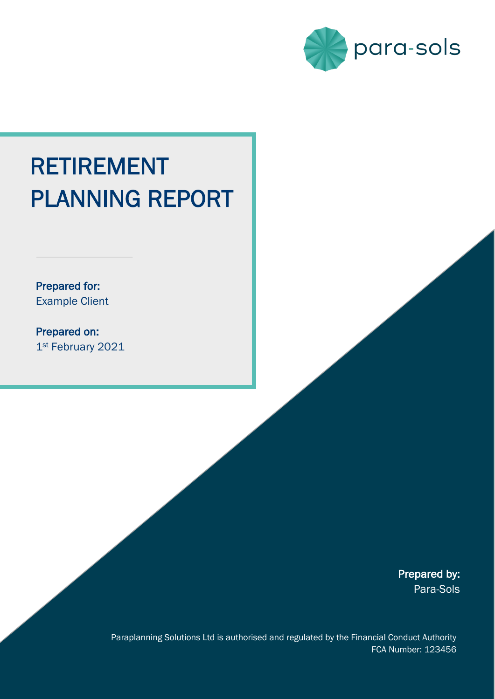

# RETIREMENT PLANNING REPORT

Prepared for: Example Client

 $\overline{a}$ 

Prepared on: 1st February 2021

> Prepared by: Para-Sols

Paraplanning Solutions Ltd is authorised and regulated by the Financial Conduct Authority FCA Number: 123456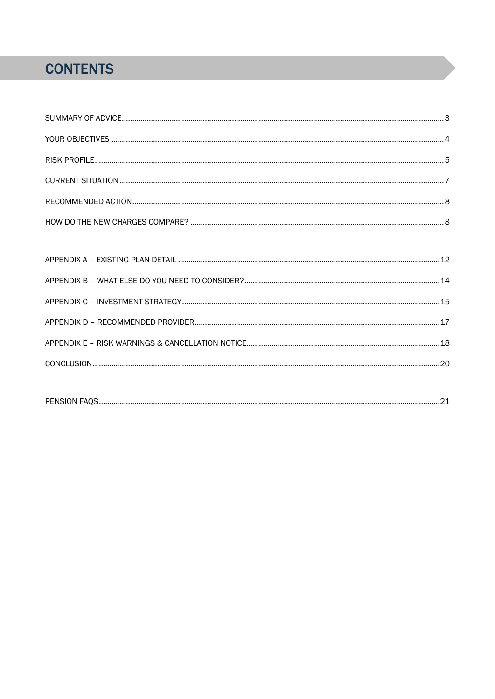## **CONTENTS**

| <b>DEMO</b> |
|-------------|
|-------------|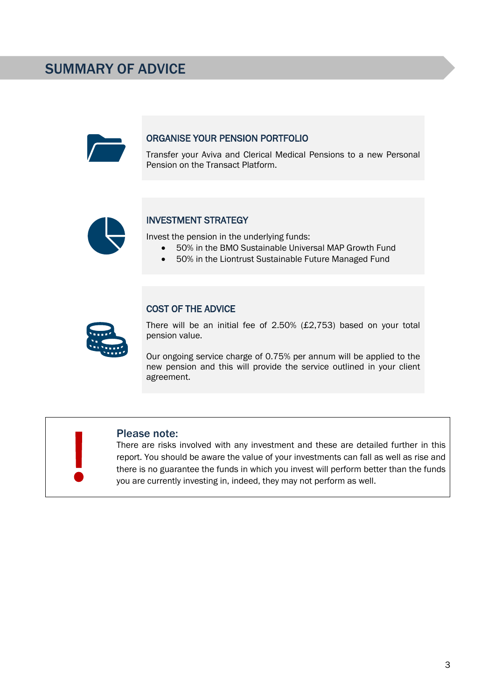### SUMMARY OF ADVICE

#### ORGANISE YOUR PENSION PORTFOLIO

Transfer your Aviva and Clerical Medical Pensions to a new Personal Pension on the Transact Platform.



#### INVESTMENT STRATEGY

Invest the pension in the underlying funds:

- 50% in the BMO Sustainable Universal MAP Growth Fund
- 50% in the Liontrust Sustainable Future Managed Fund



#### COST OF THE ADVICE

There will be an initial fee of 2.50% (£2,753) based on your total pension value.

Our ongoing service charge of 0.75% per annum will be applied to the new pension and this will provide the service outlined in your client agreement.



#### Please note:

There are risks involved with any investment and these are detailed further in this report. You should be aware the value of your investments can fall as well as rise and there is no guarantee the funds in which you invest will perform better than the funds you are currently investing in, indeed, they may not perform as well.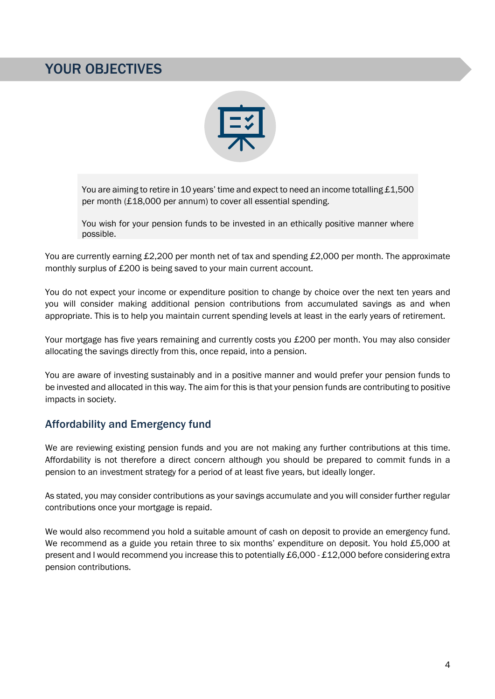### YOUR OBJECTIVES



You are aiming to retire in 10 years' time and expect to need an income totalling £1,500 per month (£18,000 per annum) to cover all essential spending.

You wish for your pension funds to be invested in an ethically positive manner where possible.

You are currently earning £2,200 per month net of tax and spending £2,000 per month. The approximate monthly surplus of £200 is being saved to your main current account.

You do not expect your income or expenditure position to change by choice over the next ten years and you will consider making additional pension contributions from accumulated savings as and when appropriate. This is to help you maintain current spending levels at least in the early years of retirement.

Your mortgage has five years remaining and currently costs you £200 per month. You may also consider allocating the savings directly from this, once repaid, into a pension.

You are aware of investing sustainably and in a positive manner and would prefer your pension funds to be invested and allocated in this way. The aim for this is that your pension funds are contributing to positive impacts in society.

#### Affordability and Emergency fund

We are reviewing existing pension funds and you are not making any further contributions at this time. Affordability is not therefore a direct concern although you should be prepared to commit funds in a pension to an investment strategy for a period of at least five years, but ideally longer.

As stated, you may consider contributions as your savings accumulate and you will consider further regular contributions once your mortgage is repaid.

We would also recommend you hold a suitable amount of cash on deposit to provide an emergency fund. We recommend as a guide you retain three to six months' expenditure on deposit. You hold £5,000 at present and I would recommend you increase this to potentially £6,000 - £12,000 before considering extra pension contributions.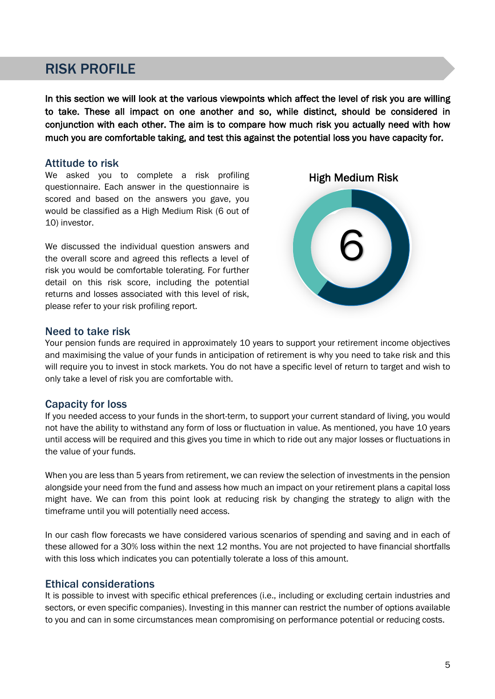### RISK PROFILE

In this section we will look at the various viewpoints which affect the level of risk you are willing to take. These all impact on one another and so, while distinct, should be considered in conjunction with each other. The aim is to compare how much risk you actually need with how much you are comfortable taking, and test this against the potential loss you have capacity for.

#### Attitude to risk

We asked you to complete a risk profiling questionnaire. Each answer in the questionnaire is scored and based on the answers you gave, you would be classified as a High Medium Risk (6 out of 10) investor.

We discussed the individual question answers and the overall score and agreed this reflects a level of risk you would be comfortable tolerating. For further detail on this risk score, including the potential returns and losses associated with this level of risk, please refer to your risk profiling report.



#### Need to take risk

Your pension funds are required in approximately 10 years to support your retirement income objectives and maximising the value of your funds in anticipation of retirement is why you need to take risk and this will require you to invest in stock markets. You do not have a specific level of return to target and wish to only take a level of risk you are comfortable with.

#### Capacity for loss

If you needed access to your funds in the short-term, to support your current standard of living, you would not have the ability to withstand any form of loss or fluctuation in value. As mentioned, you have 10 years until access will be required and this gives you time in which to ride out any major losses or fluctuations in the value of your funds.

When you are less than 5 years from retirement, we can review the selection of investments in the pension alongside your need from the fund and assess how much an impact on your retirement plans a capital loss might have. We can from this point look at reducing risk by changing the strategy to align with the timeframe until you will potentially need access.

In our cash flow forecasts we have considered various scenarios of spending and saving and in each of these allowed for a 30% loss within the next 12 months. You are not projected to have financial shortfalls with this loss which indicates you can potentially tolerate a loss of this amount.

#### Ethical considerations

It is possible to invest with specific ethical preferences (i.e., including or excluding certain industries and sectors, or even specific companies). Investing in this manner can restrict the number of options available to you and can in some circumstances mean compromising on performance potential or reducing costs.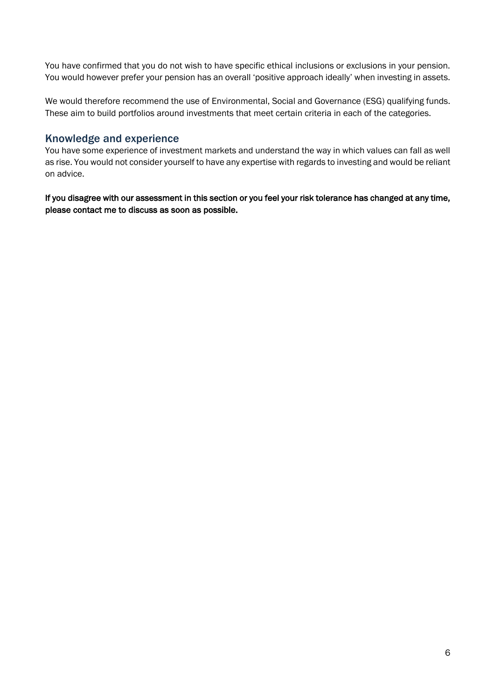You have confirmed that you do not wish to have specific ethical inclusions or exclusions in your pension. You would however prefer your pension has an overall 'positive approach ideally' when investing in assets.

We would therefore recommend the use of Environmental, Social and Governance (ESG) qualifying funds. These aim to build portfolios around investments that meet certain criteria in each of the categories.

#### Knowledge and experience

You have some experience of investment markets and understand the way in which values can fall as well as rise. You would not consider yourself to have any expertise with regards to investing and would be reliant on advice.

If you disagree with our assessment in this section or you feel your risk tolerance has changed at any time, please contact me to discuss as soon as possible.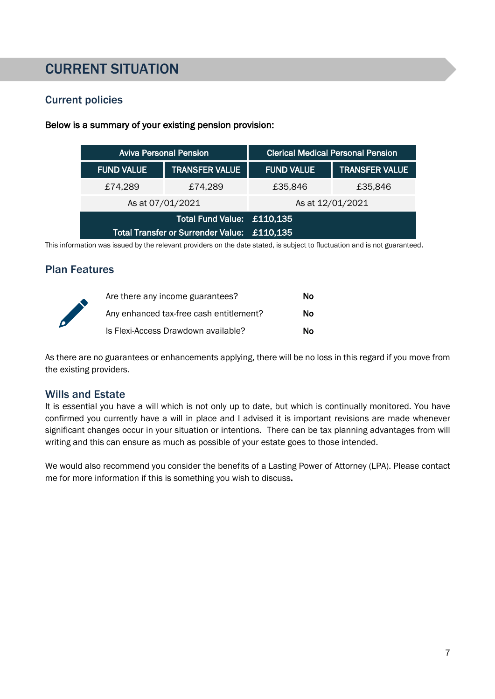### CURRENT SITUATION

#### Current policies

|                                             | <b>Aviva Personal Pension</b> |                            | <b>Clerical Medical Personal Pension</b> |                       |
|---------------------------------------------|-------------------------------|----------------------------|------------------------------------------|-----------------------|
|                                             | <b>FUND VALUE</b>             | <b>TRANSFER VALUE</b>      | <b>FUND VALUE</b>                        | <b>TRANSFER VALUE</b> |
|                                             | £74,289                       | £74,289                    | £35,846                                  | £35,846               |
|                                             | As at 07/01/2021              |                            | As at 12/01/2021                         |                       |
|                                             |                               | Total Fund Value: £110,135 |                                          |                       |
| Total Transfer or Surrender Value: £110,135 |                               |                            |                                          |                       |

#### Below is a summary of your existing pension provision:

This information was issued by the relevant providers on the date stated, is subject to fluctuation and is not guaranteed.

#### Plan Features



| Are there any income guarantees?        | Nο |
|-----------------------------------------|----|
| Any enhanced tax-free cash entitlement? | Nο |
| Is Flexi-Access Drawdown available?     | Nο |

As there are no guarantees or enhancements applying, there will be no loss in this regard if you move from the existing providers.

#### Wills and Estate

It is essential you have a will which is not only up to date, but which is continually monitored. You have confirmed you currently have a will in place and I advised it is important revisions are made whenever significant changes occur in your situation or intentions. There can be tax planning advantages from will writing and this can ensure as much as possible of your estate goes to those intended.

We would also recommend you consider the benefits of a Lasting Power of Attorney (LPA). Please contact me for more information if this is something you wish to discuss.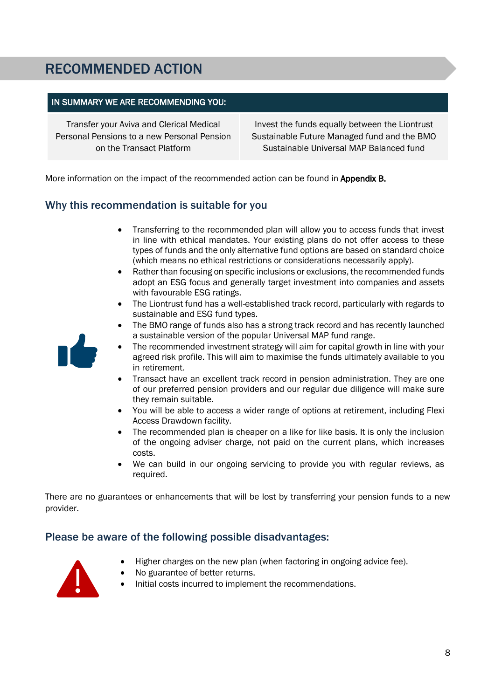### RECOMMENDED ACTION

#### IN SUMMARY WE ARE RECOMMENDING YOU:

Transfer your Aviva and Clerical Medical Personal Pensions to a new Personal Pension on the Transact Platform

Invest the funds equally between the Liontrust Sustainable Future Managed fund and the BMO Sustainable Universal MAP Balanced fund

More information on the impact of the recommended action can be found in Appendix B.

#### Why this recommendation is suitable for you

- Transferring to the recommended plan will allow you to access funds that invest in line with ethical mandates. Your existing plans do not offer access to these types of funds and the only alternative fund options are based on standard choice (which means no ethical restrictions or considerations necessarily apply).
- Rather than focusing on specific inclusions or exclusions, the recommended funds adopt an ESG focus and generally target investment into companies and assets with favourable ESG ratings.
- The Liontrust fund has a well-established track record, particularly with regards to sustainable and ESG fund types.
- The BMO range of funds also has a strong track record and has recently launched a sustainable version of the popular Universal MAP fund range.



- Transact have an excellent track record in pension administration. They are one of our preferred pension providers and our regular due diligence will make sure they remain suitable.
- You will be able to access a wider range of options at retirement, including Flexi Access Drawdown facility.
- The recommended plan is cheaper on a like for like basis. It is only the inclusion of the ongoing adviser charge, not paid on the current plans, which increases costs.
- We can build in our ongoing servicing to provide you with regular reviews, as required.

There are no guarantees or enhancements that will be lost by transferring your pension funds to a new provider.

#### Please be aware of the following possible disadvantages:



- Higher charges on the new plan (when factoring in ongoing advice fee).
- No guarantee of better returns.
- Initial costs incurred to implement the recommendations.

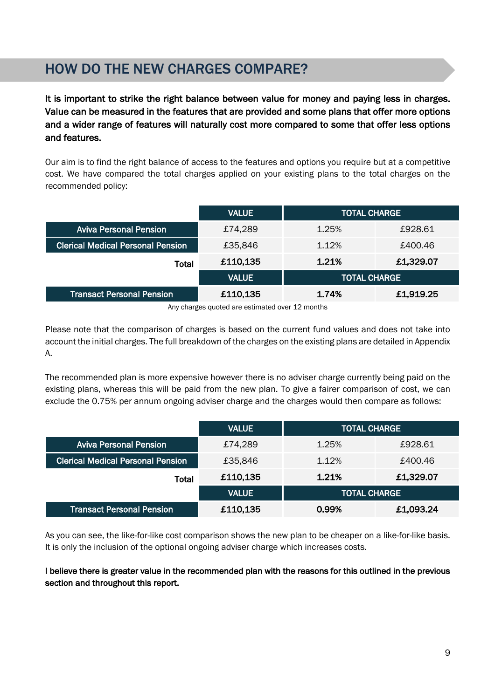### HOW DO THE NEW CHARGES COMPARE?

Ī

It is important to strike the right balance between value for money and paying less in charges. Value can be measured in the features that are provided and some plans that offer more options and a wider range of features will naturally cost more compared to some that offer less options and features.

Our aim is to find the right balance of access to the features and options you require but at a competitive cost. We have compared the total charges applied on your existing plans to the total charges on the recommended policy:

|                                          | <b>VALUE</b> | <b>TOTAL CHARGE</b> |           |
|------------------------------------------|--------------|---------------------|-----------|
| <b>Aviva Personal Pension</b>            | £74,289      | 1.25%               | £928.61   |
| <b>Clerical Medical Personal Pension</b> | £35,846      | 1.12%               | £400.46   |
| Total                                    | £110,135     | 1.21%               | £1,329.07 |
|                                          | <b>VALUE</b> | <b>TOTAL CHARGE</b> |           |
| <b>Transact Personal Pension</b>         | £110,135     | £1,919.25<br>1.74%  |           |

Any charges quoted are estimated over 12 months

Please note that the comparison of charges is based on the current fund values and does not take into account the initial charges. The full breakdown of the charges on the existing plans are detailed in Appendix A.

The recommended plan is more expensive however there is no adviser charge currently being paid on the existing plans, whereas this will be paid from the new plan. To give a fairer comparison of cost, we can exclude the 0.75% per annum ongoing adviser charge and the charges would then compare as follows:

|                                          | <b>VALUE</b> | <b>TOTAL CHARGE</b> |         |
|------------------------------------------|--------------|---------------------|---------|
| <b>Aviva Personal Pension</b>            | £74,289      | 1.25%               | £928.61 |
| <b>Clerical Medical Personal Pension</b> | £35,846      | 1.12%               | £400.46 |
| Total                                    | £110,135     | £1,329.07<br>1.21%  |         |
|                                          | <b>VALUE</b> | <b>TOTAL CHARGE</b> |         |
| <b>Transact Personal Pension</b>         | £110,135     | £1,093.24<br>0.99%  |         |

As you can see, the like-for-like cost comparison shows the new plan to be cheaper on a like-for-like basis. It is only the inclusion of the optional ongoing adviser charge which increases costs.

#### I believe there is greater value in the recommended plan with the reasons for this outlined in the previous section and throughout this report.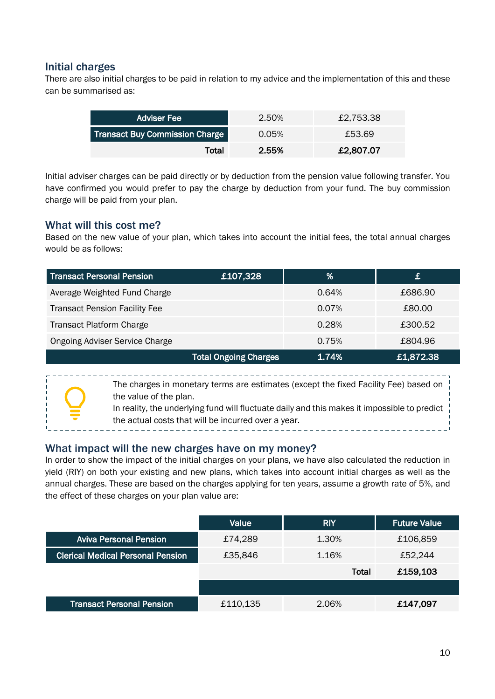#### Initial charges

There are also initial charges to be paid in relation to my advice and the implementation of this and these can be summarised as:

| <b>Adviser Fee</b>                    | 2.50% | £2.753.38 |
|---------------------------------------|-------|-----------|
| <b>Transact Buy Commission Charge</b> | 0.05% | £53.69    |
| Total                                 | 2.55% | £2,807.07 |

Initial adviser charges can be paid directly or by deduction from the pension value following transfer. You have confirmed you would prefer to pay the charge by deduction from your fund. The buy commission charge will be paid from your plan.

#### What will this cost me?

Based on the new value of your plan, which takes into account the initial fees, the total annual charges would be as follows:

| <b>Transact Personal Pension</b>      | £107,328                     | %        | £         |
|---------------------------------------|------------------------------|----------|-----------|
| Average Weighted Fund Charge          |                              | 0.64%    | £686.90   |
| <b>Transact Pension Facility Fee</b>  |                              | $0.07\%$ | £80.00    |
| <b>Transact Platform Charge</b>       |                              | 0.28%    | £300.52   |
| <b>Ongoing Adviser Service Charge</b> |                              | 0.75%    | £804.96   |
|                                       | <b>Total Ongoing Charges</b> | 1.74%    | £1,872.38 |

The charges in monetary terms are estimates (except the fixed Facility Fee) based on the value of the plan. In reality, the underlying fund will fluctuate daily and this makes it impossible to predict

the actual costs that will be incurred over a year.

#### What impact will the new charges have on my money?

In order to show the impact of the initial charges on your plans, we have also calculated the reduction in yield (RIY) on both your existing and new plans, which takes into account initial charges as well as the annual charges. These are based on the charges applying for ten years, assume a growth rate of 5%, and the effect of these charges on your plan value are:

|                                          | Value    | <b>RIY</b>   | <b>Future Value</b> |
|------------------------------------------|----------|--------------|---------------------|
| <b>Aviva Personal Pension</b>            | £74,289  | 1.30%        | £106,859            |
| <b>Clerical Medical Personal Pension</b> | £35,846  | 1.16%        | £52,244             |
|                                          |          | <b>Total</b> | £159,103            |
|                                          |          |              |                     |
| <b>Transact Personal Pension</b>         | £110,135 | 2.06%        | £147,097            |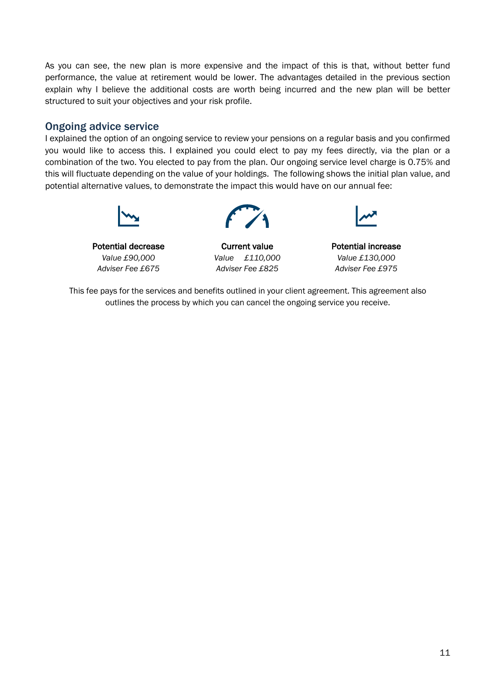As you can see, the new plan is more expensive and the impact of this is that, without better fund performance, the value at retirement would be lower. The advantages detailed in the previous section explain why I believe the additional costs are worth being incurred and the new plan will be better structured to suit your objectives and your risk profile.

#### Ongoing advice service

I explained the option of an ongoing service to review your pensions on a regular basis and you confirmed you would like to access this. I explained you could elect to pay my fees directly, via the plan or a combination of the two. You elected to pay from the plan. Our ongoing service level charge is 0.75% and this will fluctuate depending on the value of your holdings. The following shows the initial plan value, and potential alternative values, to demonstrate the impact this would have on our annual fee:



Potential decrease **Current value Potential increase** 



*Value £90,000 Value £110,000 Value £130,000 Adviser Fee £675 Adviser Fee £825 Adviser Fee £975*



This fee pays for the services and benefits outlined in your client agreement. This agreement also outlines the process by which you can cancel the ongoing service you receive.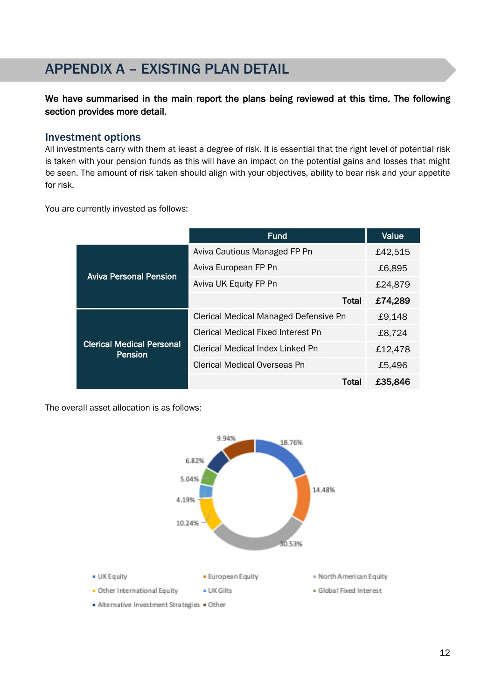### APPENDIX A – EXISTING PLAN DETAIL

#### We have summarised in the main report the plans being reviewed at this time. The following section provides more detail.

#### Investment options

Ī

All investments carry with them at least a degree of risk. It is essential that the right level of potential risk is taken with your pension funds as this will have an impact on the potential gains and losses that might be seen. The amount of risk taken should align with your objectives, ability to bear risk and your appetite for risk.

You are currently invested as follows:

|                                             | <b>Fund</b>                           | Value   |
|---------------------------------------------|---------------------------------------|---------|
| <b>Aviva Personal Pension</b>               | Aviva Cautious Managed FP Pn          | £42,515 |
|                                             | Aviva European FP Pn                  | £6,895  |
|                                             | Aviva UK Equity FP Pn                 | £24,879 |
|                                             | <b>Total</b>                          | £74,289 |
| <b>Clerical Medical Personal</b><br>Pension | Clerical Medical Managed Defensive Pn | £9,148  |
|                                             | Clerical Medical Fixed Interest Pn    | £8,724  |
|                                             | Clerical Medical Index Linked Pn      | £12,478 |
|                                             | Clerical Medical Overseas Pn          | £5,496  |
|                                             | Total                                 | £35,846 |

The overall asset allocation is as follows:

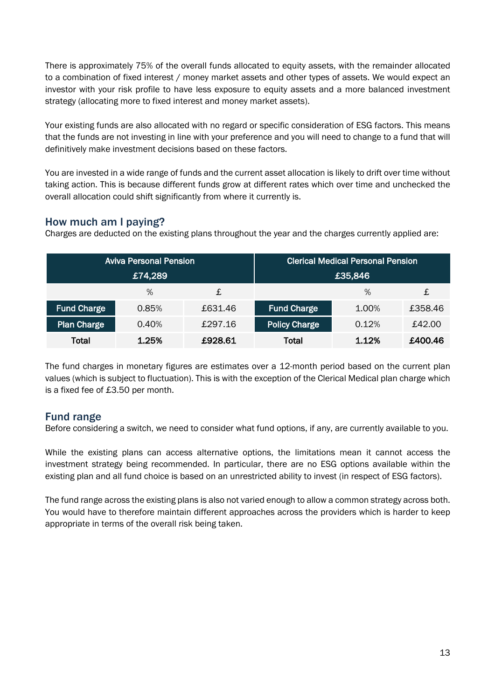There is approximately 75% of the overall funds allocated to equity assets, with the remainder allocated to a combination of fixed interest / money market assets and other types of assets. We would expect an investor with your risk profile to have less exposure to equity assets and a more balanced investment strategy (allocating more to fixed interest and money market assets).

Your existing funds are also allocated with no regard or specific consideration of ESG factors. This means that the funds are not investing in line with your preference and you will need to change to a fund that will definitively make investment decisions based on these factors.

You are invested in a wide range of funds and the current asset allocation is likely to drift over time without taking action. This is because different funds grow at different rates which over time and unchecked the overall allocation could shift significantly from where it currently is.

#### How much am I paying?

Charges are deducted on the existing plans throughout the year and the charges currently applied are:

| <b>Aviva Personal Pension</b> |       | <b>Clerical Medical Personal Pension</b> |                      |       |         |
|-------------------------------|-------|------------------------------------------|----------------------|-------|---------|
| £74,289                       |       | £35,846                                  |                      |       |         |
|                               | $\%$  | £                                        |                      | $\%$  | £       |
| <b>Fund Charge</b>            | 0.85% | £631.46                                  | <b>Fund Charge</b>   | 1.00% | £358.46 |
| <b>Plan Charge</b>            | 0.40% | £297.16                                  | <b>Policy Charge</b> | 0.12% | £42.00  |
| Total                         | 1.25% | £928.61                                  | Total                | 1.12% | £400.46 |

The fund charges in monetary figures are estimates over a 12-month period based on the current plan values (which is subject to fluctuation). This is with the exception of the Clerical Medical plan charge which is a fixed fee of £3.50 per month.

#### Fund range

Before considering a switch, we need to consider what fund options, if any, are currently available to you.

While the existing plans can access alternative options, the limitations mean it cannot access the investment strategy being recommended. In particular, there are no ESG options available within the existing plan and all fund choice is based on an unrestricted ability to invest (in respect of ESG factors).

The fund range across the existing plans is also not varied enough to allow a common strategy across both. You would have to therefore maintain different approaches across the providers which is harder to keep appropriate in terms of the overall risk being taken.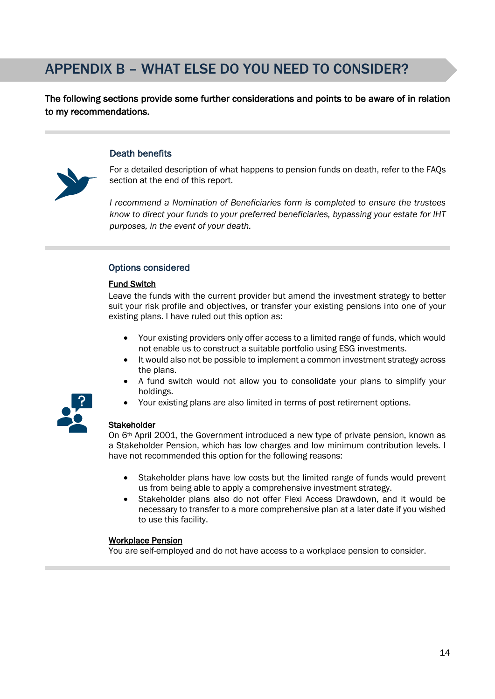### APPENDIX B – WHAT ELSE DO YOU NEED TO CONSIDER?

The following sections provide some further considerations and points to be aware of in relation to my recommendations.

#### Death benefits



For a detailed description of what happens to pension funds on death, refer to the FAQs section at the end of this report.

*I recommend a Nomination of Beneficiaries form is completed to ensure the trustees know to direct your funds to your preferred beneficiaries, bypassing your estate for IHT purposes, in the event of your death.* 

#### Options considered

#### Fund Switch

Leave the funds with the current provider but amend the investment strategy to better suit your risk profile and objectives, or transfer your existing pensions into one of your existing plans. I have ruled out this option as:

- Your existing providers only offer access to a limited range of funds, which would not enable us to construct a suitable portfolio using ESG investments.
- It would also not be possible to implement a common investment strategy across the plans.
- A fund switch would not allow you to consolidate your plans to simplify your holdings.
- Your existing plans are also limited in terms of post retirement options.



#### **Stakeholder**

On 6th April 2001, the Government introduced a new type of private pension, known as a Stakeholder Pension, which has low charges and low minimum contribution levels. I have not recommended this option for the following reasons:

- Stakeholder plans have low costs but the limited range of funds would prevent us from being able to apply a comprehensive investment strategy.
- Stakeholder plans also do not offer Flexi Access Drawdown, and it would be necessary to transfer to a more comprehensive plan at a later date if you wished to use this facility.

#### Workplace Pension

You are self-employed and do not have access to a workplace pension to consider.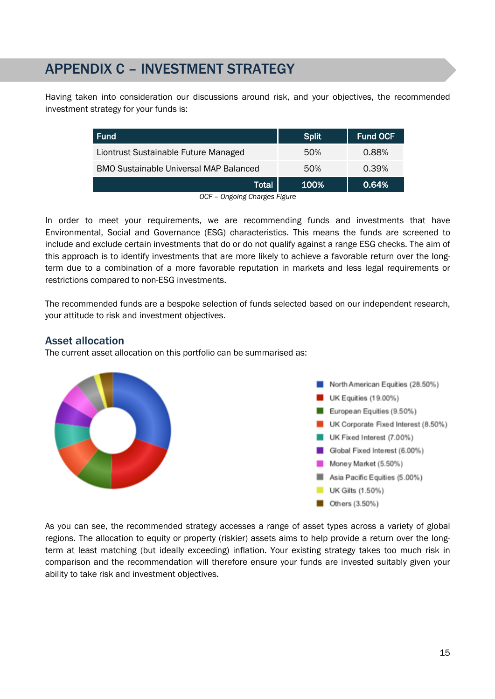### APPENDIX C – INVESTMENT STRATEGY

Having taken into consideration our discussions around risk, and your objectives, the recommended investment strategy for your funds is:

| <b>Fund</b>                                   | <b>Split</b> | <b>Fund OCF</b> |
|-----------------------------------------------|--------------|-----------------|
| Liontrust Sustainable Future Managed          | 50%          | 0.88%           |
| <b>BMO Sustainable Universal MAP Balanced</b> | 50%          | 0.39%           |
| <b>Total</b>                                  | 100%         | 0.64%           |
| On delig de Obender Fidence<br>$\cap$         |              |                 |

*OCF – Ongoing Charges Figure*

In order to meet your requirements, we are recommending funds and investments that have Environmental, Social and Governance (ESG) characteristics. This means the funds are screened to include and exclude certain investments that do or do not qualify against a range ESG checks. The aim of this approach is to identify investments that are more likely to achieve a favorable return over the longterm due to a combination of a more favorable reputation in markets and less legal requirements or restrictions compared to non-ESG investments.

The recommended funds are a bespoke selection of funds selected based on our independent research, your attitude to risk and investment objectives.

#### Asset allocation

The current asset allocation on this portfolio can be summarised as:



As you can see, the recommended strategy accesses a range of asset types across a variety of global regions. The allocation to equity or property (riskier) assets aims to help provide a return over the longterm at least matching (but ideally exceeding) inflation. Your existing strategy takes too much risk in comparison and the recommendation will therefore ensure your funds are invested suitably given your ability to take risk and investment objectives.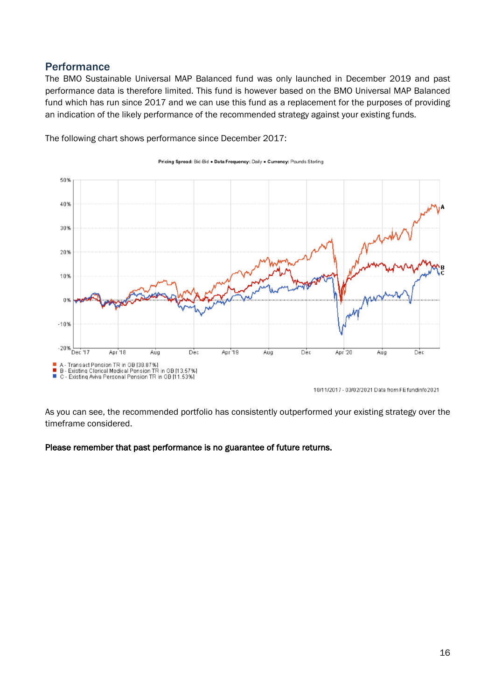#### **Performance**

The BMO Sustainable Universal MAP Balanced fund was only launched in December 2019 and past performance data is therefore limited. This fund is however based on the BMO Universal MAP Balanced fund which has run since 2017 and we can use this fund as a replacement for the purposes of providing an indication of the likely performance of the recommended strategy against your existing funds.

Pricing Spread: Bid-Bid . Data Frequency: Daily . Currency: Pounds Sterling



The following chart shows performance since December 2017:

10/11/2017 - 03/02/2021 Data from FE fundinfo2021

As you can see, the recommended portfolio has consistently outperformed your existing strategy over the timeframe considered.

#### Please remember that past performance is no guarantee of future returns.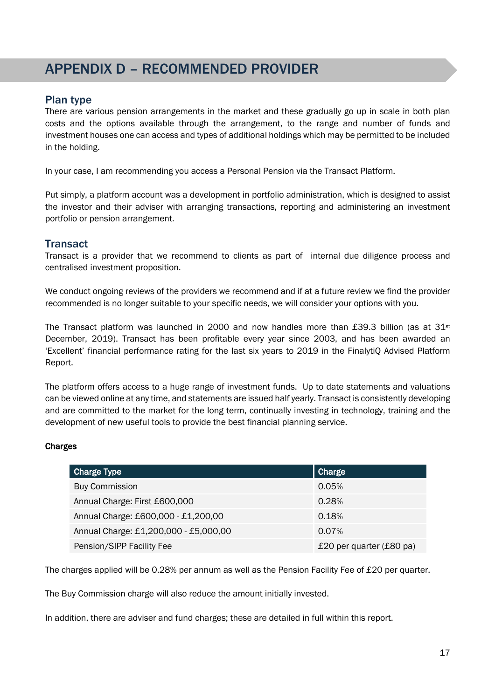### APPENDIX D – RECOMMENDED PROVIDER

#### Plan type

There are various pension arrangements in the market and these gradually go up in scale in both plan costs and the options available through the arrangement, to the range and number of funds and investment houses one can access and types of additional holdings which may be permitted to be included in the holding.

In your case, I am recommending you access a Personal Pension via the Transact Platform.

Put simply, a platform account was a development in portfolio administration, which is designed to assist the investor and their adviser with arranging transactions, reporting and administering an investment portfolio or pension arrangement.

#### **Transact**

Transact is a provider that we recommend to clients as part of internal due diligence process and centralised investment proposition.

We conduct ongoing reviews of the providers we recommend and if at a future review we find the provider recommended is no longer suitable to your specific needs, we will consider your options with you.

The Transact platform was launched in 2000 and now handles more than £39.3 billion (as at  $31<sup>st</sup>$ December, 2019). Transact has been profitable every year since 2003, and has been awarded an 'Excellent' financial performance rating for the last six years to 2019 in the FinalytiQ Advised Platform Report.

The platform offers access to a huge range of investment funds. Up to date statements and valuations can be viewed online at any time, and statements are issued half yearly. Transact is consistently developing and are committed to the market for the long term, continually investing in technology, training and the development of new useful tools to provide the best financial planning service.

#### Charges

| <b>Charge Type</b>                    | Charge                             |
|---------------------------------------|------------------------------------|
| <b>Buy Commission</b>                 | 0.05%                              |
| Annual Charge: First £600,000         | 0.28%                              |
| Annual Charge: £600,000 - £1,200,00   | 0.18%                              |
| Annual Charge: £1,200,000 - £5,000,00 | 0.07%                              |
| Pension/SIPP Facility Fee             | £20 per quarter $(E80 \text{ pa})$ |

The charges applied will be 0.28% per annum as well as the Pension Facility Fee of £20 per quarter.

The Buy Commission charge will also reduce the amount initially invested.

In addition, there are adviser and fund charges; these are detailed in full within this report.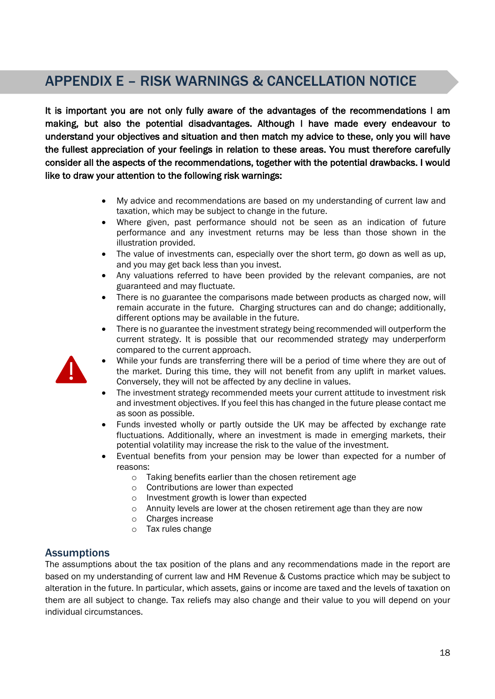### APPENDIX E – RISK WARNINGS & CANCELLATION NOTICE

It is important you are not only fully aware of the advantages of the recommendations I am making, but also the potential disadvantages. Although I have made every endeavour to understand your objectives and situation and then match my advice to these, only you will have the fullest appreciation of your feelings in relation to these areas. You must therefore carefully consider all the aspects of the recommendations, together with the potential drawbacks. I would like to draw your attention to the following risk warnings:

- My advice and recommendations are based on my understanding of current law and taxation, which may be subject to change in the future.
- Where given, past performance should not be seen as an indication of future performance and any investment returns may be less than those shown in the illustration provided.
- The value of investments can, especially over the short term, go down as well as up, and you may get back less than you invest.
- Any valuations referred to have been provided by the relevant companies, are not guaranteed and may fluctuate.
- There is no guarantee the comparisons made between products as charged now, will remain accurate in the future. Charging structures can and do change; additionally, different options may be available in the future.
- There is no guarantee the investment strategy being recommended will outperform the current strategy. It is possible that our recommended strategy may underperform compared to the current approach.
- While your funds are transferring there will be a period of time where they are out of the market. During this time, they will not benefit from any uplift in market values. Conversely, they will not be affected by any decline in values.
	- The investment strategy recommended meets your current attitude to investment risk and investment objectives. If you feel this has changed in the future please contact me as soon as possible.
	- Funds invested wholly or partly outside the UK may be affected by exchange rate fluctuations. Additionally, where an investment is made in emerging markets, their potential volatility may increase the risk to the value of the investment.
	- Eventual benefits from your pension may be lower than expected for a number of reasons:
		- o Taking benefits earlier than the chosen retirement age
		- o Contributions are lower than expected
		- o Investment growth is lower than expected
		- $\circ$  Annuity levels are lower at the chosen retirement age than they are now
		- o Charges increase
		- o Tax rules change

#### **Assumptions**

The assumptions about the tax position of the plans and any recommendations made in the report are based on my understanding of current law and HM Revenue & Customs practice which may be subject to alteration in the future. In particular, which assets, gains or income are taxed and the levels of taxation on them are all subject to change. Tax reliefs may also change and their value to you will depend on your individual circumstances.

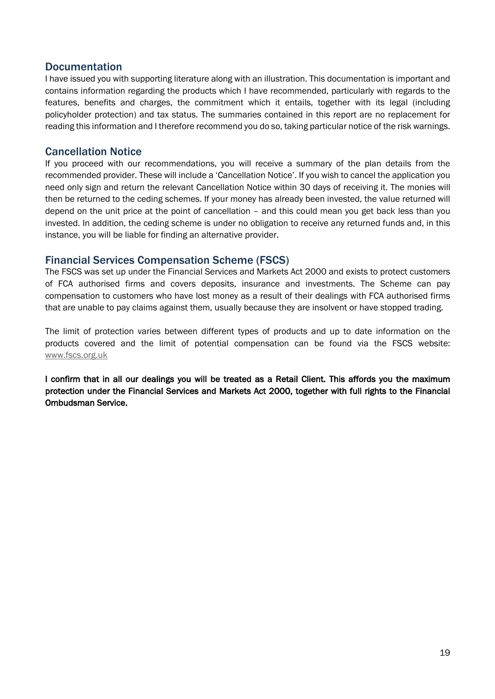#### Documentation

I have issued you with supporting literature along with an illustration. This documentation is important and contains information regarding the products which I have recommended, particularly with regards to the features, benefits and charges, the commitment which it entails, together with its legal (including policyholder protection) and tax status. The summaries contained in this report are no replacement for reading this information and I therefore recommend you do so, taking particular notice of the risk warnings.

#### Cancellation Notice

If you proceed with our recommendations, you will receive a summary of the plan details from the recommended provider. These will include a 'Cancellation Notice'. If you wish to cancel the application you need only sign and return the relevant Cancellation Notice within 30 days of receiving it. The monies will then be returned to the ceding schemes. If your money has already been invested, the value returned will depend on the unit price at the point of cancellation – and this could mean you get back less than you invested. In addition, the ceding scheme is under no obligation to receive any returned funds and, in this instance, you will be liable for finding an alternative provider.

#### Financial Services Compensation Scheme (FSCS)

The FSCS was set up under the Financial Services and Markets Act 2000 and exists to protect customers of FCA authorised firms and covers deposits, insurance and investments. The Scheme can pay compensation to customers who have lost money as a result of their dealings with FCA authorised firms that are unable to pay claims against them, usually because they are insolvent or have stopped trading.

The limit of protection varies between different types of products and up to date information on the products covered and the limit of potential compensation can be found via the FSCS website: www.fscs.org.uk

I confirm that in all our dealings you will be treated as a Retail Client. This affords you the maximum protection under the Financial Services and Markets Act 2000, together with full rights to the Financial Ombudsman Service.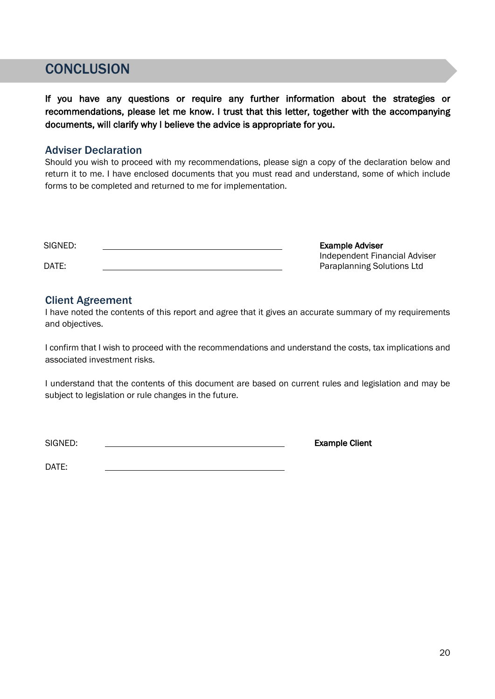### **CONCLUSION**

I

If you have any questions or require any further information about the strategies or recommendations, please let me know. I trust that this letter, together with the accompanying documents, will clarify why I believe the advice is appropriate for you.

#### Adviser Declaration

Should you wish to proceed with my recommendations, please sign a copy of the declaration below and return it to me. I have enclosed documents that you must read and understand, some of which include forms to be completed and returned to me for implementation.

| SIGNED: | <b>Example Adviser</b>        |
|---------|-------------------------------|
|         | Independent Financial Adviser |
| DATE:   | Paraplanning Solutions Ltd    |

#### Client Agreement

I have noted the contents of this report and agree that it gives an accurate summary of my requirements and objectives.

I confirm that I wish to proceed with the recommendations and understand the costs, tax implications and associated investment risks.

I understand that the contents of this document are based on current rules and legislation and may be subject to legislation or rule changes in the future.

SIGNED: **Example Client** 

DATE: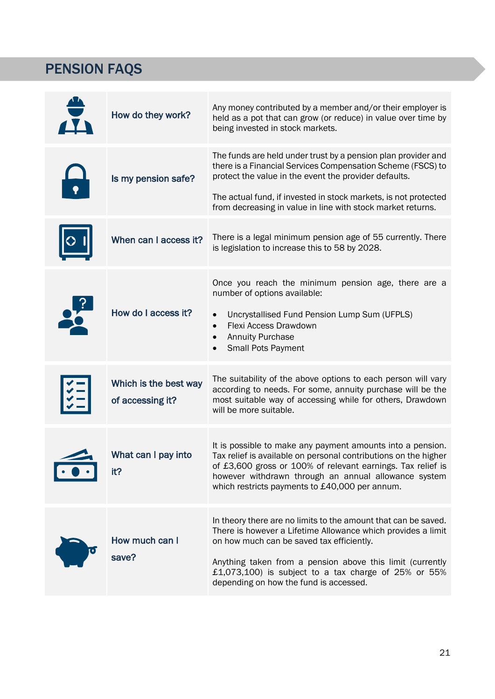# PENSION FAQS

| $\frac{4}{11}$ | How do they work?                         | Any money contributed by a member and/or their employer is<br>held as a pot that can grow (or reduce) in value over time by<br>being invested in stock markets.                                                                                                                                                                                  |
|----------------|-------------------------------------------|--------------------------------------------------------------------------------------------------------------------------------------------------------------------------------------------------------------------------------------------------------------------------------------------------------------------------------------------------|
|                | Is my pension safe?                       | The funds are held under trust by a pension plan provider and<br>there is a Financial Services Compensation Scheme (FSCS) to<br>protect the value in the event the provider defaults.<br>The actual fund, if invested in stock markets, is not protected<br>from decreasing in value in line with stock market returns.                          |
|                | When can I access it?                     | There is a legal minimum pension age of 55 currently. There<br>is legislation to increase this to 58 by 2028.                                                                                                                                                                                                                                    |
| 26             | How do I access it?                       | Once you reach the minimum pension age, there are a<br>number of options available:<br>Uncrystallised Fund Pension Lump Sum (UFPLS)<br>$\bullet$<br>Flexi Access Drawdown<br>$\bullet$<br><b>Annuity Purchase</b><br><b>Small Pots Payment</b>                                                                                                   |
|                | Which is the best way<br>of accessing it? | The suitability of the above options to each person will vary<br>according to needs. For some, annuity purchase will be the<br>most suitable way of accessing while for others, Drawdown<br>will be more suitable.                                                                                                                               |
|                | What can I pay into<br>it?                | It is possible to make any payment amounts into a pension.<br>Tax relief is available on personal contributions on the higher<br>of £3,600 gross or 100% of relevant earnings. Tax relief is<br>however withdrawn through an annual allowance system<br>which restricts payments to £40,000 per annum.                                           |
|                | How much can I<br>save?                   | In theory there are no limits to the amount that can be saved.<br>There is however a Lifetime Allowance which provides a limit<br>on how much can be saved tax efficiently.<br>Anything taken from a pension above this limit (currently<br>£1,073,100) is subject to a tax charge of $25\%$ or $55\%$<br>depending on how the fund is accessed. |